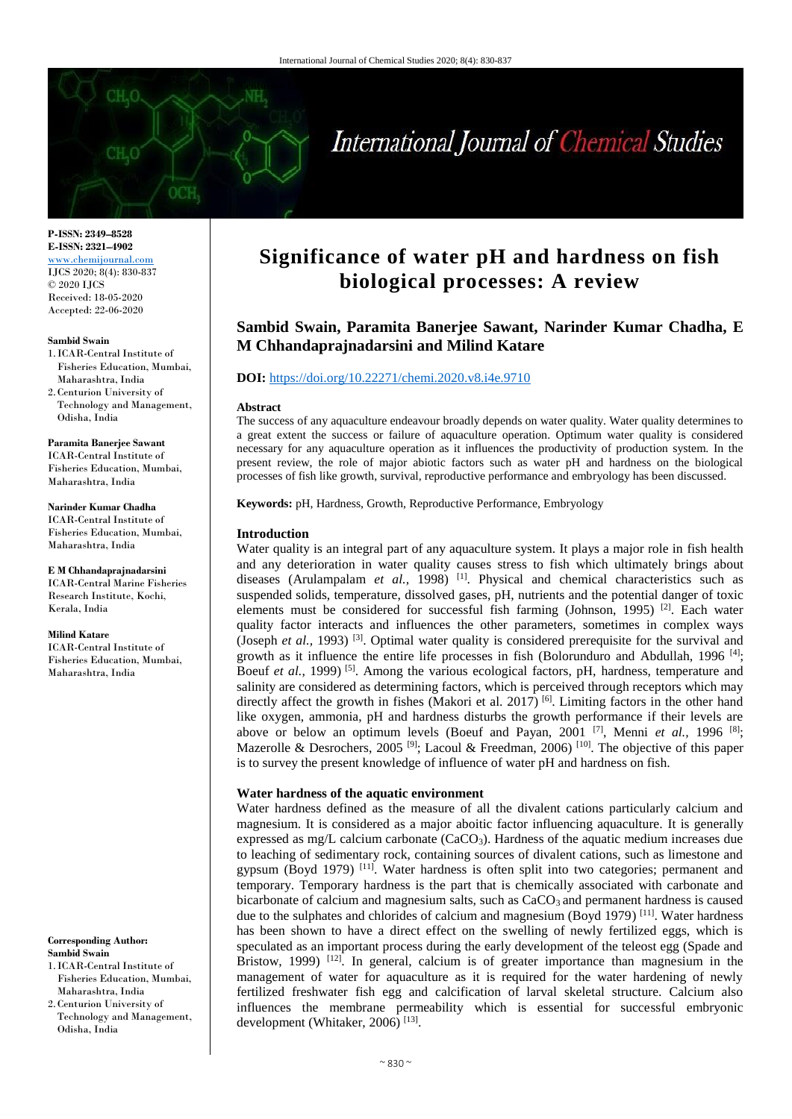

# International Journal of Chemical Studies

**P-ISSN: 2349–8528 E-ISSN: 2321–4902** [www.chemijournal.com](http://www.chemijournal.com/) IJCS 2020; 8(4): 830-837 © 2020 IJCS Received: 18-05-2020 Accepted: 22-06-2020

#### **Sambid Swain**

- 1. ICAR-Central Institute of Fisheries Education, Mumbai, Maharashtra, India
- 2.Centurion University of Technology and Management, Odisha, India

**Paramita Banerjee Sawant** ICAR-Central Institute of Fisheries Education, Mumbai, Maharashtra, India

#### **Narinder Kumar Chadha**

ICAR-Central Institute of Fisheries Education, Mumbai, Maharashtra, India

**E M Chhandaprajnadarsini**  ICAR-Central Marine Fisheries Research Institute, Kochi, Kerala, India

#### **Milind Katare**

ICAR-Central Institute of Fisheries Education, Mumbai, Maharashtra, India

#### **Corresponding Author: Sambid Swain**

- 1. ICAR-Central Institute of Fisheries Education, Mumbai, Maharashtra, India 2.Centurion University of
- Technology and Management, Odisha, India

# **Significance of water pH and hardness on fish biological processes: A review**

# **Sambid Swain, Paramita Banerjee Sawant, Narinder Kumar Chadha, E M Chhandaprajnadarsini and Milind Katare**

# **DOI:** <https://doi.org/10.22271/chemi.2020.v8.i4e.9710>

#### **Abstract**

The success of any aquaculture endeavour broadly depends on water quality. Water quality determines to a great extent the success or failure of aquaculture operation. Optimum water quality is considered necessary for any aquaculture operation as it influences the productivity of production system. In the present review, the role of major abiotic factors such as water pH and hardness on the biological processes of fish like growth, survival, reproductive performance and embryology has been discussed.

**Keywords:** pH, Hardness, Growth, Reproductive Performance, Embryology

#### **Introduction**

Water quality is an integral part of any aquaculture system. It plays a major role in fish health and any deterioration in water quality causes stress to fish which ultimately brings about diseases (Arulampalam *et al.*, 1998)<sup>[1]</sup>. Physical and chemical characteristics such as suspended solids, temperature, dissolved gases, pH, nutrients and the potential danger of toxic elements must be considered for successful fish farming (Johnson, 1995)<sup>[2]</sup>. Each water quality factor interacts and influences the other parameters, sometimes in complex ways (Joseph *et al.*, 1993)<sup>[3]</sup>. Optimal water quality is considered prerequisite for the survival and growth as it influence the entire life processes in fish (Bolorunduro and Abdullah, 1996<sup>[4]</sup>; Boeuf et al., 1999)<sup>[5]</sup>. Among the various ecological factors, pH, hardness, temperature and salinity are considered as determining factors, which is perceived through receptors which may directly affect the growth in fishes (Makori et al. 2017)<sup>[6]</sup>. Limiting factors in the other hand like oxygen, ammonia, pH and hardness disturbs the growth performance if their levels are above or below an optimum levels (Boeuf and Payan, 2001<sup>[7]</sup>, Menni *et al.*, 1996<sup>[8]</sup>; Mazerolle & Desrochers, 2005<sup>[9]</sup>; Lacoul & Freedman, 2006<sup>[10]</sup>. The objective of this paper is to survey the present knowledge of influence of water pH and hardness on fish.

### **Water hardness of the aquatic environment**

Water hardness defined as the measure of all the divalent cations particularly calcium and magnesium. It is considered as a major aboitic factor influencing aquaculture. It is generally expressed as mg/L calcium carbonate  $(CaCO<sub>3</sub>)$ . Hardness of the aquatic medium increases due to leaching of sedimentary rock, containing sources of divalent cations, such as limestone and gypsum (Boyd 1979)<sup>[11]</sup>. Water hardness is often split into two categories; permanent and temporary. Temporary hardness is the part that is chemically associated with carbonate and bicarbonate of calcium and magnesium salts, such as  $CaCO<sub>3</sub>$  and permanent hardness is caused due to the sulphates and chlorides of calcium and magnesium (Boyd 1979)<sup>[11]</sup>. Water hardness has been shown to have a direct effect on the swelling of newly fertilized eggs, which is speculated as an important process during the early development of the teleost egg (Spade and Bristow, 1999)<sup>[12]</sup>. In general, calcium is of greater importance than magnesium in the management of water for aquaculture as it is required for the water hardening of newly fertilized freshwater fish egg and calcification of larval skeletal structure. Calcium also influences the membrane permeability which is essential for successful embryonic development (Whitaker, 2006) [13] .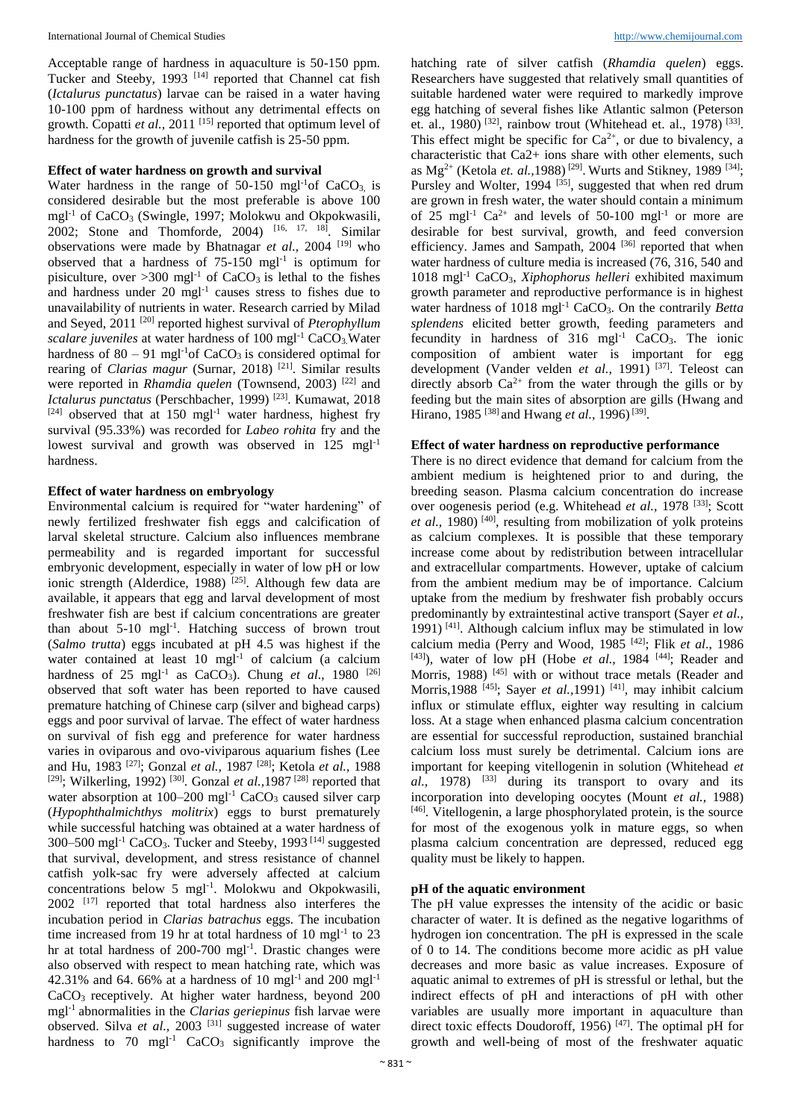Acceptable range of hardness in aquaculture is 50-150 ppm. Tucker and Steeby, 1993<sup>[14]</sup> reported that Channel cat fish (*Ictalurus punctatus*) larvae can be raised in a water having 10-100 ppm of hardness without any detrimental effects on growth. Copatti et al., 2011<sup>[15]</sup> reported that optimum level of hardness for the growth of juvenile catfish is 25-50 ppm.

# **Effect of water hardness on growth and survival**

Water hardness in the range of  $50-150$  mgl<sup>-1</sup>of CaCO<sub>3</sub> is considered desirable but the most preferable is above 100 mgl<sup>-1</sup> of CaCO<sub>3</sub> (Swingle, 1997; Molokwu and Okpokwasili, 2002; Stone and Thomforde, 2004) [16, 17, 18] . Similar observations were made by Bhatnagar *et al.,* 2004 [19] who observed that a hardness of  $75-150$  mgl<sup>-1</sup> is optimum for pisiculture, over  $>300$  mgl<sup>-1</sup> of CaCO<sub>3</sub> is lethal to the fishes and hardness under 20 mgl<sup>-1</sup> causes stress to fishes due to unavailability of nutrients in water. Research carried by Milad and Seyed, 2011 [20] reported highest survival of *Pterophyllum scalare juveniles* at water hardness of 100 mgl<sup>-1</sup> CaCO<sub>3</sub>.Water hardness of  $80 - 91$  mgl<sup>-1</sup>of CaCO<sub>3</sub> is considered optimal for rearing of *Clarias magur* (Surnar, 2018)<sup>[21]</sup>. Similar results were reported in *Rhamdia quelen* (Townsend, 2003)<sup>[22]</sup> and *Ictalurus punctatus* (Perschbacher, 1999) [23] . Kumawat, 2018  $[24]$  observed that at 150 mgl<sup>-1</sup> water hardness, highest fry survival (95.33%) was recorded for *Labeo rohita* fry and the lowest survival and growth was observed in  $125 \text{ mgl}^{-1}$ hardness.

# **Effect of water hardness on embryology**

Environmental calcium is required for "water hardening" of newly fertilized freshwater fish eggs and calcification of larval skeletal structure. Calcium also influences membrane permeability and is regarded important for successful embryonic development, especially in water of low pH or low ionic strength (Alderdice, 1988)<sup>[25]</sup>. Although few data are available, it appears that egg and larval development of most freshwater fish are best if calcium concentrations are greater than about  $5{\text -}10$  mgl<sup>-1</sup>. Hatching success of brown trout (*Salmo trutta*) eggs incubated at pH 4.5 was highest if the water contained at least 10 mgl<sup>-1</sup> of calcium (a calcium hardness of  $25 \text{ mgl}^{-1}$  as CaCO<sub>3</sub>). Chung *et al.*, 1980<sup>[26]</sup> observed that soft water has been reported to have caused premature hatching of Chinese carp (silver and bighead carps) eggs and poor survival of larvae. The effect of water hardness on survival of fish egg and preference for water hardness varies in oviparous and ovo-viviparous aquarium fishes (Lee and Hu, 1983 [27] ; Gonzal *et al.,* 1987 [28] ; Ketola *et al.,* 1988 <sup>[29]</sup>; Wilkerling, 1992)<sup>[30]</sup>. Gonzal *et al.*, 1987<sup>[28]</sup> reported that water absorption at  $100-200$  mgl<sup>-1</sup> CaCO<sub>3</sub> caused silver carp (*Hypophthalmichthys molitrix*) eggs to burst prematurely while successful hatching was obtained at a water hardness of 300–500 mgl<sup>-1</sup> CaCO<sub>3</sub>. Tucker and Steeby, 1993<sup>[14]</sup> suggested that survival, development, and stress resistance of channel catfish yolk-sac fry were adversely affected at calcium concentrations below 5 mgl-1 . Molokwu and Okpokwasili, 2002<sup>[17]</sup> reported that total hardness also interferes the incubation period in *Clarias batrachus* eggs. The incubation time increased from 19 hr at total hardness of 10 mgl<sup>-1</sup> to 23 hr at total hardness of 200-700 mgl<sup>-1</sup>. Drastic changes were also observed with respect to mean hatching rate, which was 42.31% and 64.66% at a hardness of 10 mgl<sup>-1</sup> and 200 mgl<sup>-1</sup> CaCO3 receptively. At higher water hardness, beyond 200 mgl-1 abnormalities in the *Clarias geriepinus* fish larvae were observed. Silva *et al.*, 2003<sup>[31]</sup> suggested increase of water hardness to  $70 \text{ mgl}^{-1}$  CaCO<sub>3</sub> significantly improve the hatching rate of silver catfish (*Rhamdia quelen*) eggs. Researchers have suggested that relatively small quantities of suitable hardened water were required to markedly improve egg hatching of several fishes like Atlantic salmon (Peterson et. al., 1980)<sup>[32]</sup>, rainbow trout (Whitehead et. al., 1978)<sup>[33]</sup>. This effect might be specific for  $Ca^{2+}$ , or due to bivalency, a characteristic that Ca2+ ions share with other elements, such as  $Mg^{2+}$  (Ketola *et. al.*, 1988)<sup>[29]</sup>. Wurts and Stikney, 1989<sup>[34]</sup>; Pursley and Wolter, 1994<sup>[35]</sup>, suggested that when red drum are grown in fresh water, the water should contain a minimum of  $25 \text{ mgl}^{-1}$  Ca<sup>2+</sup> and levels of 50-100 mgl<sup>-1</sup> or more are desirable for best survival, growth, and feed conversion efficiency. James and Sampath, 2004<sup>[36]</sup> reported that when water hardness of culture media is increased (76, 316, 540 and 1018 mgl-1 CaCO3, *Xiphophorus helleri* exhibited maximum growth parameter and reproductive performance is in highest water hardness of 1018 mgl<sup>-1</sup> CaCO<sub>3</sub>. On the contrarily *Betta splendens* elicited better growth, feeding parameters and fecundity in hardness of  $316$  mgl<sup>-1</sup> CaCO<sub>3</sub>. The ionic composition of ambient water is important for egg development (Vander velden *et al.,* 1991) [37] . Teleost can directly absorb  $Ca^{2+}$  from the water through the gills or by feeding but the main sites of absorption are gills (Hwang and Hirano, 1985 [38] and Hwang *et al.,* 1996) [39] .

# **Effect of water hardness on reproductive performance**

There is no direct evidence that demand for calcium from the ambient medium is heightened prior to and during, the breeding season. Plasma calcium concentration do increase over oogenesis period (e.g. Whitehead *et al.*, 1978<sup>[33]</sup>; Scott et al., 1980)<sup>[40]</sup>, resulting from mobilization of yolk proteins as calcium complexes. It is possible that these temporary increase come about by redistribution between intracellular and extracellular compartments. However, uptake of calcium from the ambient medium may be of importance. Calcium uptake from the medium by freshwater fish probably occurs predominantly by extraintestinal active transport (Sayer *et al.,* 1991)<sup>[41]</sup>. Although calcium influx may be stimulated in low calcium media (Perry and Wood, 1985 [42] ; Flik *et al*., 1986 [43]), water of low pH (Hobe *et al.*, 1984<sup>[44]</sup>; Reader and Morris, 1988)<sup>[45]</sup> with or without trace metals (Reader and Morris, 1988<sup>[45]</sup>; Sayer *et al.*, 1991)<sup>[41]</sup>, may inhibit calcium influx or stimulate efflux, eighter way resulting in calcium loss. At a stage when enhanced plasma calcium concentration are essential for successful reproduction, sustained branchial calcium loss must surely be detrimental. Calcium ions are important for keeping vitellogenin in solution (Whitehead *et al.,* 1978) [33] during its transport to ovary and its incorporation into developing oocytes (Mount *et al.,* 1988) [46]. Vitellogenin, a large phosphorylated protein, is the source for most of the exogenous yolk in mature eggs, so when plasma calcium concentration are depressed, reduced egg quality must be likely to happen.

# **pH of the aquatic environment**

The pH value expresses the intensity of the acidic or basic character of water. It is defined as the negative logarithms of hydrogen ion concentration. The pH is expressed in the scale of 0 to 14. The conditions become more acidic as pH value decreases and more basic as value increases. Exposure of aquatic animal to extremes of pH is stressful or lethal, but the indirect effects of pH and interactions of pH with other variables are usually more important in aquaculture than direct toxic effects Doudoroff, 1956)<sup>[47]</sup>. The optimal pH for growth and well-being of most of the freshwater aquatic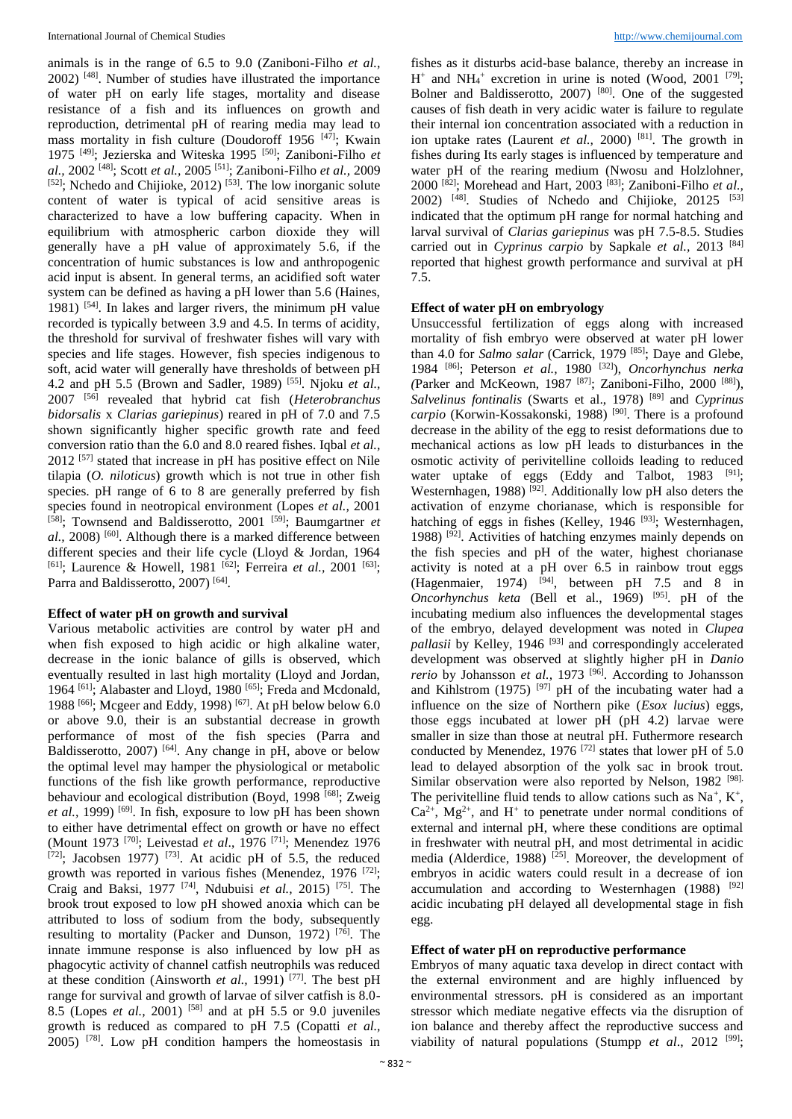animals is in the range of 6.5 to 9.0 (Zaniboni-Filho *et al.,* 2002) [48] . Number of studies have illustrated the importance of water pH on early life stages, mortality and disease resistance of a fish and its influences on growth and reproduction, detrimental pH of rearing media may lead to mass mortality in fish culture (Doudoroff 1956<sup>[47]</sup>; Kwain 1975 [49] ; Jezierska and Witeska 1995 [50] ; Zaniboni-Filho *et al.,* 2002 [48] ; Scott *et al.,* 2005 [51] ; Zaniboni-Filho *et al.,* 2009 [52]; Nchedo and Chijioke, 2012)<sup>[53]</sup>. The low inorganic solute content of water is typical of acid sensitive areas is characterized to have a low buffering capacity. When in equilibrium with atmospheric carbon dioxide they will generally have a pH value of approximately 5.6, if the concentration of humic substances is low and anthropogenic acid input is absent. In general terms, an acidified soft water system can be defined as having a pH lower than 5.6 (Haines, 1981) [54] . In lakes and larger rivers, the minimum pH value recorded is typically between 3.9 and 4.5. In terms of acidity, the threshold for survival of freshwater fishes will vary with species and life stages. However, fish species indigenous to soft, acid water will generally have thresholds of between pH 4.2 and pH 5.5 (Brown and Sadler, 1989) [55] . Njoku *et al.,*  2007 [56] revealed that hybrid cat fish (*Heterobranchus bidorsalis* x *Clarias gariepinus*) reared in pH of 7.0 and 7.5 shown significantly higher specific growth rate and feed conversion ratio than the 6.0 and 8.0 reared fishes. Iqbal *et al.,*  2012 [57] stated that increase in pH has positive effect on Nile tilapia (*O. niloticus*) growth which is not true in other fish species. pH range of 6 to 8 are generally preferred by fish species found in neotropical environment (Lopes *et al.,* 2001 [58] ; Townsend and Baldisserotto, 2001 [59] ; Baumgartner *et al.,* 2008) [60] . Although there is a marked difference between different species and their life cycle (Lloyd & Jordan, 1964 <sup>[61]</sup>; Laurence & Howell, 1981<sup>[62]</sup>; Ferreira *et al.*, 2001<sup>[63]</sup>; Parra and Baldisserotto, 2007)<sup>[64]</sup>.

#### **Effect of water pH on growth and survival**

Various metabolic activities are control by water pH and when fish exposed to high acidic or high alkaline water, decrease in the ionic balance of gills is observed, which eventually resulted in last high mortality (Lloyd and Jordan, 1964<sup>[61]</sup>; Alabaster and Lloyd, 1980<sup>[65]</sup>; Freda and Mcdonald, 1988 [66] ; Mcgeer and Eddy, 1998) [67] . At pH below below 6.0 or above 9.0, their is an substantial decrease in growth performance of most of the fish species (Parra and Baldisserotto, 2007)<sup>[64]</sup>. Any change in pH, above or below the optimal level may hamper the physiological or metabolic functions of the fish like growth performance, reproductive behaviour and ecological distribution (Boyd, 1998<sup>[68]</sup>; Zweig et al., 1999)<sup>[69]</sup>. In fish, exposure to low pH has been shown to either have detrimental effect on growth or have no effect (Mount 1973 [70] ; Leivestad *et al*., 1976 [71] ; Menendez 1976  $[72]$ ; Jacobsen 1977)<sup>[73]</sup>. At acidic pH of 5.5, the reduced growth was reported in various fishes (Menendez, 1976<sup>[72]</sup>; Craig and Baksi, 1977 [74] , Ndubuisi *et al.,* 2015) [75] . The brook trout exposed to low pH showed anoxia which can be attributed to loss of sodium from the body, subsequently resulting to mortality (Packer and Dunson, 1972)<sup>[76]</sup>. The innate immune response is also influenced by low pH as phagocytic activity of channel catfish neutrophils was reduced at these condition (Ainsworth *et al.,* 1991) [77] . The best pH range for survival and growth of larvae of silver catfish is 8.0- 8.5 (Lopes *et al.,* 2001) [58] and at pH 5.5 or 9.0 juveniles growth is reduced as compared to pH 7.5 (Copatti *et al.,* 2005) [78] . Low pH condition hampers the homeostasis in

fishes as it disturbs acid-base balance, thereby an increase in  $H^+$  and NH<sub>4</sub><sup>+</sup> excretion in urine is noted (Wood, 2001<sup>[79]</sup>; Bolner and Baldisserotto, 2007) [80] . One of the suggested causes of fish death in very acidic water is failure to regulate their internal ion concentration associated with a reduction in ion uptake rates (Laurent *et al.,* 2000) [81] . The growth in fishes during Its early stages is influenced by temperature and water pH of the rearing medium (Nwosu and Holzlohner, 2000 [82] ; Morehead and Hart, 2003 [83] ; Zaniboni-Filho *et al.,* 2002)<sup>[48]</sup>. Studies of Nchedo and Chijioke, 20125<sup>[53]</sup> indicated that the optimum pH range for normal hatching and larval survival of *Clarias gariepinus* was pH 7.5-8.5. Studies carried out in *Cyprinus carpio* by Sapkale *et al.,* 2013 [84] reported that highest growth performance and survival at pH 7.5.

### **Effect of water pH on embryology**

Unsuccessful fertilization of eggs along with increased mortality of fish embryo were observed at water pH lower than 4.0 for *Salmo salar* (Carrick, 1979 [85] ; Daye and Glebe, 1984 [86] ; Peterson *et al.,* 1980 [32] ), *Oncorhynchus nerka (*Parker and McKeown, 1987 [87] ; Zaniboni-Filho, 2000 [88] ), *Salvelinus fontinalis* (Swarts et al., 1978) [89] and *Cyprinus*  carpio (Korwin-Kossakonski, 1988)<sup>[90]</sup>. There is a profound decrease in the ability of the egg to resist deformations due to mechanical actions as low pH leads to disturbances in the osmotic activity of perivitelline colloids leading to reduced water uptake of eggs (Eddy and Talbot, 1983<sup>[91]</sup>; Westernhagen, 1988)<sup>[92]</sup>. Additionally low pH also deters the activation of enzyme chorianase, which is responsible for hatching of eggs in fishes (Kelley, 1946<sup>[93]</sup>; Westernhagen, 1988) [92] . Activities of hatching enzymes mainly depends on the fish species and pH of the water, highest chorianase activity is noted at a pH over 6.5 in rainbow trout eggs (Hagenmaier, 1974)  $[94]$ , between pH 7.5 and 8 in *Oncorhynchus keta* (Bell et al., 1969) [95] . pH of the incubating medium also influences the developmental stages of the embryo, delayed development was noted in *Clupea*  pallasii by Kelley, 1946<sup>[93]</sup> and correspondingly accelerated development was observed at slightly higher pH in *Danio*  rerio by Johansson et al., 1973<sup>[96]</sup>. According to Johansson and Kihlstrom (1975) <sup>[97]</sup> pH of the incubating water had a influence on the size of Northern pike (*Esox lucius*) eggs, those eggs incubated at lower pH (pH 4.2) larvae were smaller in size than those at neutral pH. Futhermore research conducted by Menendez,  $1976$ <sup>[72]</sup> states that lower pH of 5.0 lead to delayed absorption of the yolk sac in brook trout. Similar observation were also reported by Nelson, 1982<sup>[98].</sup> The perivitelline fluid tends to allow cations such as  $Na^+$ ,  $K^+$ ,  $Ca^{2+}$ , Mg<sup>2+</sup>, and H<sup>+</sup> to penetrate under normal conditions of external and internal pH, where these conditions are optimal in freshwater with neutral pH, and most detrimental in acidic media (Alderdice, 1988)<sup>[25]</sup>. Moreover, the development of embryos in acidic waters could result in a decrease of ion accumulation and according to Westernhagen  $(1988)$ <sup>[92]</sup> acidic incubating pH delayed all developmental stage in fish egg.

# **Effect of water pH on reproductive performance**

Embryos of many aquatic taxa develop in direct contact with the external environment and are highly influenced by environmental stressors. pH is considered as an important stressor which mediate negative effects via the disruption of ion balance and thereby affect the reproductive success and viability of natural populations (Stumpp *et al.*, 2012<sup>[99]</sup>;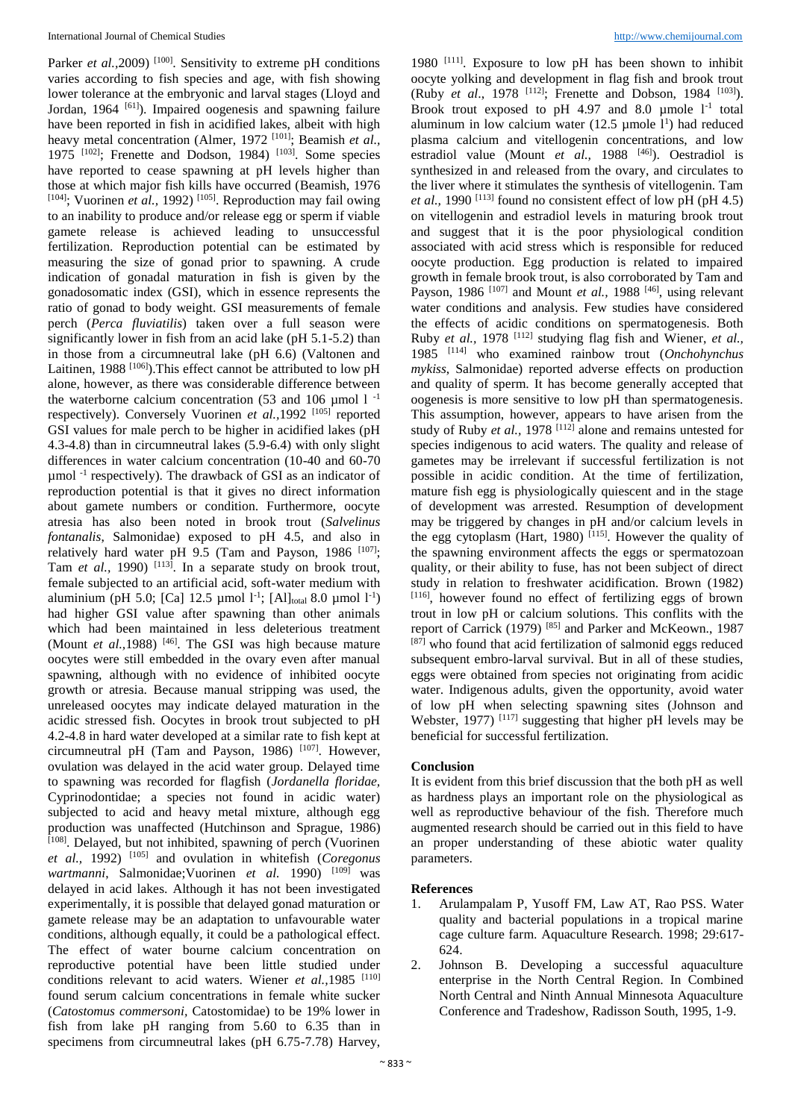Parker *et al.*, 2009)<sup>[100]</sup>. Sensitivity to extreme pH conditions varies according to fish species and age, with fish showing lower tolerance at the embryonic and larval stages (Lloyd and Jordan, 1964<sup> [61]</sup>). Impaired oogenesis and spawning failure have been reported in fish in acidified lakes, albeit with high heavy metal concentration (Almer, 1972<sup>[101]</sup>; Beamish *et al.*, 1975<sup>[102]</sup>; Frenette and Dodson, 1984)<sup>[103]</sup>. Some species have reported to cease spawning at pH levels higher than those at which major fish kills have occurred (Beamish, 1976 <sup>[104]</sup>; Vuorinen *et al.*, 1992)<sup>[105]</sup>. Reproduction may fail owing to an inability to produce and/or release egg or sperm if viable gamete release is achieved leading to unsuccessful fertilization. Reproduction potential can be estimated by measuring the size of gonad prior to spawning. A crude indication of gonadal maturation in fish is given by the gonadosomatic index (GSI), which in essence represents the ratio of gonad to body weight. GSI measurements of female perch (*Perca fluviatilis*) taken over a full season were significantly lower in fish from an acid lake (pH 5.1-5.2) than in those from a circumneutral lake (pH 6.6) (Valtonen and Laitinen, 1988<sup>[106]</sup>). This effect cannot be attributed to low pH alone, however, as there was considerable difference between the waterborne calcium concentration (53 and 106  $\mu$ mol 1<sup>-1</sup> respectively). Conversely Vuorinen *et al.*, 1992<sup>[105]</sup> reported GSI values for male perch to be higher in acidified lakes (pH 4.3-4.8) than in circumneutral lakes (5.9-6.4) with only slight differences in water calcium concentration (10-40 and 60-70 µmol -1 respectively). The drawback of GSI as an indicator of reproduction potential is that it gives no direct information about gamete numbers or condition. Furthermore, oocyte atresia has also been noted in brook trout (*Salvelinus fontanalis*, Salmonidae) exposed to pH 4.5, and also in relatively hard water pH 9.5 (Tam and Payson, 1986  $[107]$ ; Tam *et al.*, 1990)<sup>[113]</sup>. In a separate study on brook trout, female subjected to an artificial acid, soft-water medium with aluminium (pH 5.0; [Ca] 12.5  $\mu$ mol 1<sup>-1</sup>; [Al]<sub>total</sub> 8.0  $\mu$ mol 1<sup>-1</sup>) had higher GSI value after spawning than other animals which had been maintained in less deleterious treatment (Mount *et al.*, 1988)<sup>[46]</sup>. The GSI was high because mature oocytes were still embedded in the ovary even after manual spawning, although with no evidence of inhibited oocyte growth or atresia. Because manual stripping was used, the unreleased oocytes may indicate delayed maturation in the acidic stressed fish. Oocytes in brook trout subjected to pH 4.2-4.8 in hard water developed at a similar rate to fish kept at circumneutral pH (Tam and Payson, 1986)  $[107]$ . However, ovulation was delayed in the acid water group. Delayed time to spawning was recorded for flagfish (*Jordanella floridae,* Cyprinodontidae; a species not found in acidic water) subjected to acid and heavy metal mixture, although egg production was unaffected (Hutchinson and Sprague, 1986) [108]. Delayed, but not inhibited, spawning of perch (Vuorinen *et al.,* 1992) [105] and ovulation in whitefish (*Coregonus wartmanni*, Salmonidae;Vuorinen *et al.* 1990) [109] was delayed in acid lakes. Although it has not been investigated experimentally, it is possible that delayed gonad maturation or gamete release may be an adaptation to unfavourable water conditions, although equally, it could be a pathological effect. The effect of water bourne calcium concentration on reproductive potential have been little studied under conditions relevant to acid waters. Wiener *et al.*, 1985 <sup>[110]</sup> found serum calcium concentrations in female white sucker (*Catostomus commersoni,* Catostomidae) to be 19% lower in fish from lake pH ranging from 5.60 to 6.35 than in specimens from circumneutral lakes (pH 6.75-7.78) Harvey,

1980<sup>[111]</sup>. Exposure to low pH has been shown to inhibit oocyte yolking and development in flag fish and brook trout (Ruby *et al.*, 1978 <sup>[112]</sup>; Frenette and Dobson, 1984 <sup>[103]</sup>). Brook trout exposed to pH 4.97 and 8.0  $\mu$ mole  $1^{-1}$  total aluminum in low calcium water  $(12.5 \text{ \mu} \text{mole } 1^1)$  had reduced plasma calcium and vitellogenin concentrations, and low estradiol value (Mount *et al.*, 1988<sup>[46]</sup>). Oestradiol is synthesized in and released from the ovary, and circulates to the liver where it stimulates the synthesis of vitellogenin. Tam *et al.*, 1990<sup>[113]</sup> found no consistent effect of low pH (pH 4.5) on vitellogenin and estradiol levels in maturing brook trout and suggest that it is the poor physiological condition associated with acid stress which is responsible for reduced oocyte production. Egg production is related to impaired growth in female brook trout, is also corroborated by Tam and Payson, 1986<sup>[107]</sup> and Mount *et al.*, 1988<sup>[46]</sup>, using relevant water conditions and analysis. Few studies have considered the effects of acidic conditions on spermatogenesis. Both Ruby *et al.,* 1978 [112] studying flag fish and Wiener, *et al.,* 1985 [114] who examined rainbow trout (*Onchohynchus mykiss*, Salmonidae) reported adverse effects on production and quality of sperm. It has become generally accepted that oogenesis is more sensitive to low pH than spermatogenesis. This assumption, however, appears to have arisen from the study of Ruby *et al.*, 1978<sup>[112]</sup> alone and remains untested for species indigenous to acid waters. The quality and release of gametes may be irrelevant if successful fertilization is not possible in acidic condition. At the time of fertilization, mature fish egg is physiologically quiescent and in the stage of development was arrested. Resumption of development may be triggered by changes in pH and/or calcium levels in the egg cytoplasm (Hart, 1980)<sup>[115]</sup>. However the quality of the spawning environment affects the eggs or spermatozoan quality, or their ability to fuse, has not been subject of direct study in relation to freshwater acidification. Brown (1982) [116] , however found no effect of fertilizing eggs of brown trout in low pH or calcium solutions. This conflits with the report of Carrick (1979)<sup>[85]</sup> and Parker and McKeown., 1987 [87] who found that acid fertilization of salmonid eggs reduced subsequent embro-larval survival. But in all of these studies, eggs were obtained from species not originating from acidic water. Indigenous adults, given the opportunity, avoid water of low pH when selecting spawning sites (Johnson and Webster, 1977)<sup>[117]</sup> suggesting that higher pH levels may be beneficial for successful fertilization.

#### **Conclusion**

It is evident from this brief discussion that the both pH as well as hardness plays an important role on the physiological as well as reproductive behaviour of the fish. Therefore much augmented research should be carried out in this field to have an proper understanding of these abiotic water quality parameters.

#### **References**

- 1. Arulampalam P, Yusoff FM, Law AT, Rao PSS. Water quality and bacterial populations in a tropical marine cage culture farm. Aquaculture Research. 1998; 29:617- 624.
- 2. Johnson B. Developing a successful aquaculture enterprise in the North Central Region. In Combined North Central and Ninth Annual Minnesota Aquaculture Conference and Tradeshow, Radisson South, 1995, 1-9.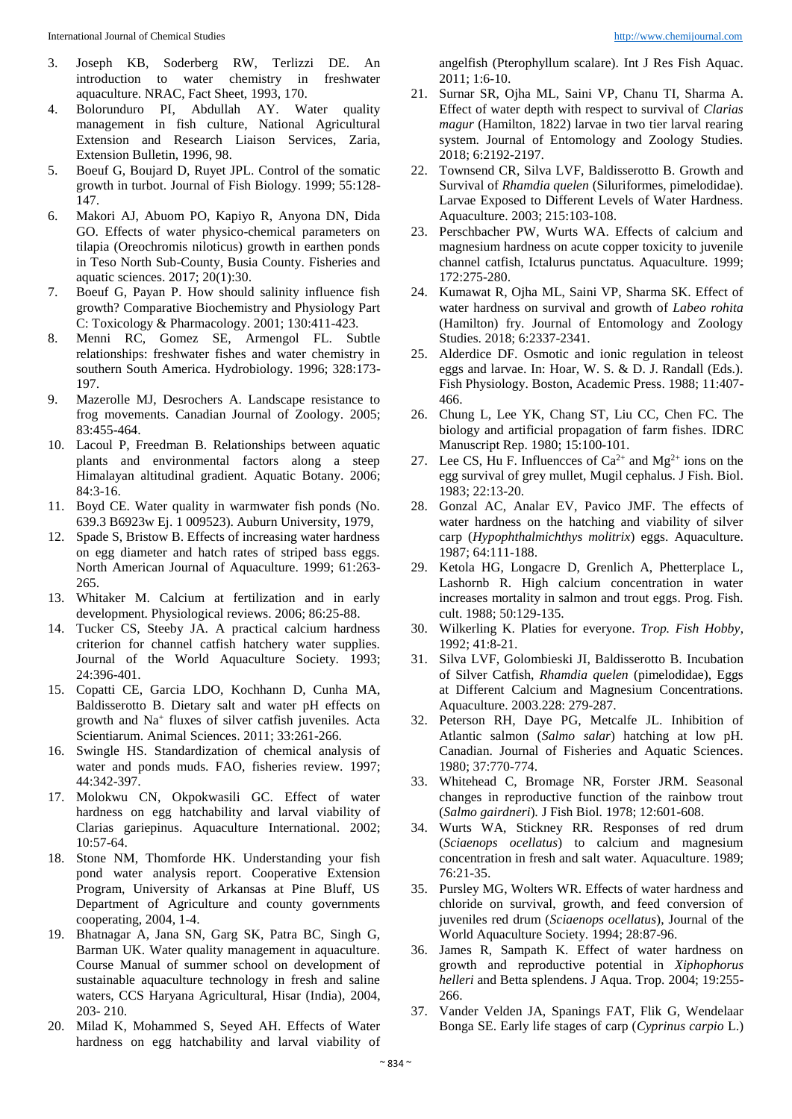- 3. Joseph KB, Soderberg RW, Terlizzi DE. An introduction to water chemistry in freshwater aquaculture. NRAC, Fact Sheet, 1993, 170.
- 4. Bolorunduro PI, Abdullah AY. Water quality management in fish culture, National Agricultural Extension and Research Liaison Services, Zaria, Extension Bulletin, 1996, 98.
- 5. Boeuf G, Boujard D, Ruyet JPL. Control of the somatic growth in turbot. Journal of Fish Biology. 1999; 55:128- 147.
- 6. Makori AJ, Abuom PO, Kapiyo R, Anyona DN, Dida GO. Effects of water physico-chemical parameters on tilapia (Oreochromis niloticus) growth in earthen ponds in Teso North Sub-County, Busia County. Fisheries and aquatic sciences. 2017; 20(1):30.
- 7. Boeuf G, Payan P. How should salinity influence fish growth? Comparative Biochemistry and Physiology Part C: Toxicology & Pharmacology. 2001; 130:411-423.
- 8. Menni RC, Gomez SE, Armengol FL. Subtle relationships: freshwater fishes and water chemistry in southern South America. Hydrobiology. 1996; 328:173- 197.
- 9. Mazerolle MJ, Desrochers A. Landscape resistance to frog movements. Canadian Journal of Zoology. 2005; 83:455-464.
- 10. Lacoul P, Freedman B. Relationships between aquatic plants and environmental factors along a steep Himalayan altitudinal gradient*.* Aquatic Botany. 2006; 84:3-16.
- 11. Boyd CE. Water quality in warmwater fish ponds (No. 639.3 B6923w Ej. 1 009523). Auburn University, 1979,
- 12. Spade S, Bristow B. Effects of increasing water hardness on egg diameter and hatch rates of striped bass eggs. North American Journal of Aquaculture. 1999; 61:263- 265.
- 13. Whitaker M. Calcium at fertilization and in early development. Physiological reviews. 2006; 86:25-88.
- 14. Tucker CS, Steeby JA. A practical calcium hardness criterion for channel catfish hatchery water supplies. Journal of the World Aquaculture Society. 1993; 24:396-401.
- 15. Copatti CE, Garcia LDO, Kochhann D, Cunha MA, Baldisserotto B. Dietary salt and water pH effects on growth and Na<sup>+</sup> fluxes of silver catfish juveniles. Acta Scientiarum. Animal Sciences. 2011; 33:261-266.
- 16. Swingle HS. Standardization of chemical analysis of water and ponds muds. FAO, fisheries review. 1997; 44:342-397.
- 17. Molokwu CN, Okpokwasili GC. Effect of water hardness on egg hatchability and larval viability of Clarias gariepinus. Aquaculture International. 2002; 10:57-64.
- 18. Stone NM, Thomforde HK. Understanding your fish pond water analysis report. Cooperative Extension Program, University of Arkansas at Pine Bluff, US Department of Agriculture and county governments cooperating, 2004, 1-4.
- 19. Bhatnagar A, Jana SN, Garg SK, Patra BC, Singh G, Barman UK. Water quality management in aquaculture. Course Manual of summer school on development of sustainable aquaculture technology in fresh and saline waters, CCS Haryana Agricultural, Hisar (India), 2004, 203- 210.
- 20. Milad K, Mohammed S, Seyed AH. Effects of Water hardness on egg hatchability and larval viability of

angelfish (Pterophyllum scalare). Int J Res Fish Aquac. 2011; 1:6-10.

- 21. Surnar SR, Ojha ML, Saini VP, Chanu TI, Sharma A. Effect of water depth with respect to survival of *Clarias magur* (Hamilton, 1822) larvae in two tier larval rearing system. Journal of Entomology and Zoology Studies. 2018; 6:2192-2197.
- 22. Townsend CR, Silva LVF, Baldisserotto B. Growth and Survival of *Rhamdia quelen* (Siluriformes, pimelodidae). Larvae Exposed to Different Levels of Water Hardness. Aquaculture. 2003; 215:103-108.
- 23. Perschbacher PW, Wurts WA. Effects of calcium and magnesium hardness on acute copper toxicity to juvenile channel catfish, Ictalurus punctatus. Aquaculture. 1999; 172:275-280.
- 24. Kumawat R, Ojha ML, Saini VP, Sharma SK. Effect of water hardness on survival and growth of *Labeo rohita* (Hamilton) fry. Journal of Entomology and Zoology Studies. 2018; 6:2337-2341.
- 25. Alderdice DF. Osmotic and ionic regulation in teleost eggs and larvae. In: Hoar, W. S. & D. J. Randall (Eds.). Fish Physiology. Boston, Academic Press. 1988; 11:407- 466.
- 26. Chung L, Lee YK, Chang ST, Liu CC, Chen FC. The biology and artificial propagation of farm fishes. IDRC Manuscript Rep. 1980; 15:100-101.
- 27. Lee CS, Hu F. Influences of  $Ca^{2+}$  and  $Mg^{2+}$  ions on the egg survival of grey mullet, Mugil cephalus. J Fish. Biol. 1983; 22:13-20.
- 28. Gonzal AC, Analar EV, Pavico JMF. The effects of water hardness on the hatching and viability of silver carp (*Hypophthalmichthys molitrix*) eggs. Aquaculture. 1987; 64:111-188.
- 29. Ketola HG, Longacre D, Grenlich A, Phetterplace L, Lashornb R. High calcium concentration in water increases mortality in salmon and trout eggs. Prog. Fish. cult. 1988; 50:129-135.
- 30. Wilkerling K. Platies for everyone. *Trop. Fish Hobby*, 1992; 41:8-21.
- 31. Silva LVF, Golombieski JI, Baldisserotto B. Incubation of Silver Catfish, *Rhamdia quelen* (pimelodidae), Eggs at Different Calcium and Magnesium Concentrations. Aquaculture. 2003.228: 279-287.
- 32. Peterson RH, Daye PG, Metcalfe JL. Inhibition of Atlantic salmon (*Salmo salar*) hatching at low pH. Canadian. Journal of Fisheries and Aquatic Sciences. 1980; 37:770-774.
- 33. Whitehead C, Bromage NR, Forster JRM. Seasonal changes in reproductive function of the rainbow trout (*Salmo gairdneri*)*.* J Fish Biol. 1978; 12:601-608.
- 34. Wurts WA, Stickney RR. Responses of red drum (*Sciaenops ocellatus*) to calcium and magnesium concentration in fresh and salt water. Aquaculture. 1989; 76:21-35.
- 35. Pursley MG, Wolters WR. Effects of water hardness and chloride on survival, growth, and feed conversion of juveniles red drum (*Sciaenops ocellatus*), Journal of the World Aquaculture Society. 1994; 28:87-96.
- 36. James R, Sampath K. Effect of water hardness on growth and reproductive potential in *Xiphophorus helleri* and Betta splendens. J Aqua. Trop. 2004; 19:255- 266.
- 37. Vander Velden JA, Spanings FAT, Flik G, Wendelaar Bonga SE. Early life stages of carp (*Cyprinus carpio* L.)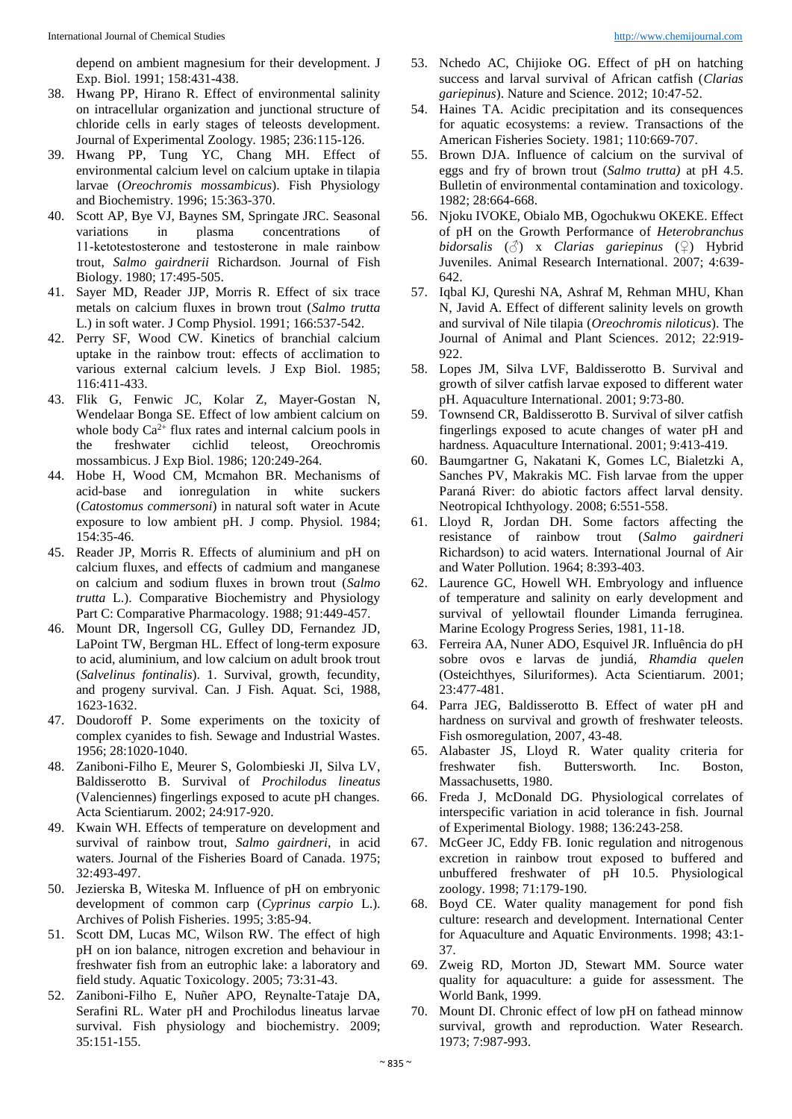depend on ambient magnesium for their development. J Exp. Biol. 1991; 158:431-438.

- 38. Hwang PP, Hirano R. Effect of environmental salinity on intracellular organization and junctional structure of chloride cells in early stages of teleosts development. Journal of Experimental Zoology*.* 1985; 236:115-126.
- 39. Hwang PP, Tung YC, Chang MH. Effect of environmental calcium level on calcium uptake in tilapia larvae (*Oreochromis mossambicus*). Fish Physiology and Biochemistry. 1996; 15:363-370.
- 40. Scott AP, Bye VJ, Baynes SM, Springate JRC. Seasonal variations in plasma concentrations of 11‐ketotestosterone and testosterone in male rainbow trout, *Salmo gairdnerii* Richardson. Journal of Fish Biology. 1980; 17:495-505.
- 41. Sayer MD, Reader JJP, Morris R. Effect of six trace metals on calcium fluxes in brown trout (*Salmo trutta* L.) in soft water. J Comp Physiol. 1991; 166:537-542.
- 42. Perry SF, Wood CW. Kinetics of branchial calcium uptake in the rainbow trout: effects of acclimation to various external calcium levels. J Exp Biol. 1985; 116:411-433.
- 43. Flik G, Fenwic JC, Kolar Z, Mayer-Gostan N, Wendelaar Bonga SE. Effect of low ambient calcium on whole body  $Ca^{2+}$  flux rates and internal calcium pools in the freshwater cichlid teleost, Oreochromis mossambicus. J Exp Biol. 1986; 120:249-264.
- 44. Hobe H, Wood CM, Mcmahon BR. Mechanisms of acid-base and ionregulation in white suckers (*Catostomus commersoni*) in natural soft water in Acute exposure to low ambient pH. J comp. Physiol*.* 1984; 154:35-46.
- 45. Reader JP, Morris R. Effects of aluminium and pH on calcium fluxes, and effects of cadmium and manganese on calcium and sodium fluxes in brown trout (*Salmo trutta* L.). Comparative Biochemistry and Physiology Part C: Comparative Pharmacology. 1988; 91:449-457.
- 46. Mount DR, Ingersoll CG, Gulley DD, Fernandez JD, LaPoint TW, Bergman HL. Effect of long-term exposure to acid, aluminium, and low calcium on adult brook trout (*Salvelinus fontinalis*). 1. Survival, growth, fecundity, and progeny survival. Can. J Fish. Aquat. Sci, 1988, 1623-1632.
- 47. Doudoroff P. Some experiments on the toxicity of complex cyanides to fish. Sewage and Industrial Wastes. 1956; 28:1020-1040.
- 48. Zaniboni-Filho E, Meurer S, Golombieski JI, Silva LV, Baldisserotto B. Survival of *Prochilodus lineatus* (Valenciennes) fingerlings exposed to acute pH changes. Acta Scientiarum. 2002; 24:917-920.
- 49. Kwain WH. Effects of temperature on development and survival of rainbow trout, *Salmo gairdneri*, in acid waters. Journal of the Fisheries Board of Canada. 1975; 32:493-497.
- 50. Jezierska B, Witeska M. Influence of pH on embryonic development of common carp (*Cyprinus carpio* L.). Archives of Polish Fisheries. 1995; 3:85-94.
- 51. Scott DM, Lucas MC, Wilson RW. The effect of high pH on ion balance, nitrogen excretion and behaviour in freshwater fish from an eutrophic lake: a laboratory and field study. Aquatic Toxicology. 2005; 73:31-43.
- 52. Zaniboni-Filho E, Nuñer APO, Reynalte-Tataje DA, Serafini RL. Water pH and Prochilodus lineatus larvae survival. Fish physiology and biochemistry. 2009; 35:151-155.
- 53. Nchedo AC, Chijioke OG. Effect of pH on hatching success and larval survival of African catfish (*Clarias gariepinus*). Nature and Science. 2012; 10:47-52.
- 54. Haines TA. Acidic precipitation and its consequences for aquatic ecosystems: a review. Transactions of the American Fisheries Society. 1981; 110:669-707.
- 55. Brown DJA. Influence of calcium on the survival of eggs and fry of brown trout (*Salmo trutta)* at pH 4.5. Bulletin of environmental contamination and toxicology. 1982; 28:664-668.
- 56. Njoku IVOKE, Obialo MB, Ogochukwu OKEKE. Effect of pH on the Growth Performance of *Heterobranchus bidorsalis* (♂) x *Clarias gariepinus* (♀) Hybrid Juveniles. Animal Research International. 2007; 4:639- 642.
- 57. Iqbal KJ, Qureshi NA, Ashraf M, Rehman MHU, Khan N, Javid A. Effect of different salinity levels on growth and survival of Nile tilapia (*Oreochromis niloticus*). The Journal of Animal and Plant Sciences. 2012; 22:919- 922.
- 58. Lopes JM, Silva LVF, Baldisserotto B. Survival and growth of silver catfish larvae exposed to different water pH. Aquaculture International. 2001; 9:73-80.
- 59. Townsend CR, Baldisserotto B. Survival of silver catfish fingerlings exposed to acute changes of water pH and hardness. Aquaculture International. 2001; 9:413-419.
- 60. Baumgartner G, Nakatani K, Gomes LC, Bialetzki A, Sanches PV, Makrakis MC. Fish larvae from the upper Paraná River: do abiotic factors affect larval density. Neotropical Ichthyology. 2008; 6:551-558.
- 61. Lloyd R, Jordan DH. Some factors affecting the resistance of rainbow trout (*Salmo gairdneri* Richardson) to acid waters. International Journal of Air and Water Pollution. 1964; 8:393-403.
- 62. Laurence GC, Howell WH. Embryology and influence of temperature and salinity on early development and survival of yellowtail flounder Limanda ferruginea. Marine Ecology Progress Series, 1981, 11-18.
- 63. Ferreira AA, Nuner ADO, Esquivel JR. Influência do pH sobre ovos e larvas de jundiá, *Rhamdia quelen* (Osteichthyes, Siluriformes). Acta Scientiarum. 2001; 23:477-481.
- 64. Parra JEG, Baldisserotto B. Effect of water pH and hardness on survival and growth of freshwater teleosts. Fish osmoregulation, 2007, 43-48.
- 65. Alabaster JS, Lloyd R. Water quality criteria for freshwater fish. Buttersworth. Inc. Boston, Massachusetts, 1980.
- 66. Freda J, McDonald DG. Physiological correlates of interspecific variation in acid tolerance in fish. Journal of Experimental Biology. 1988; 136:243-258.
- 67. McGeer JC, Eddy FB. Ionic regulation and nitrogenous excretion in rainbow trout exposed to buffered and unbuffered freshwater of pH 10.5. Physiological zoology. 1998; 71:179-190.
- 68. Boyd CE. Water quality management for pond fish culture: research and development. International Center for Aquaculture and Aquatic Environments. 1998; 43:1- 37.
- 69. Zweig RD, Morton JD, Stewart MM. Source water quality for aquaculture: a guide for assessment. The World Bank, 1999.
- 70. Mount DI. Chronic effect of low pH on fathead minnow survival, growth and reproduction. Water Research. 1973; 7:987-993.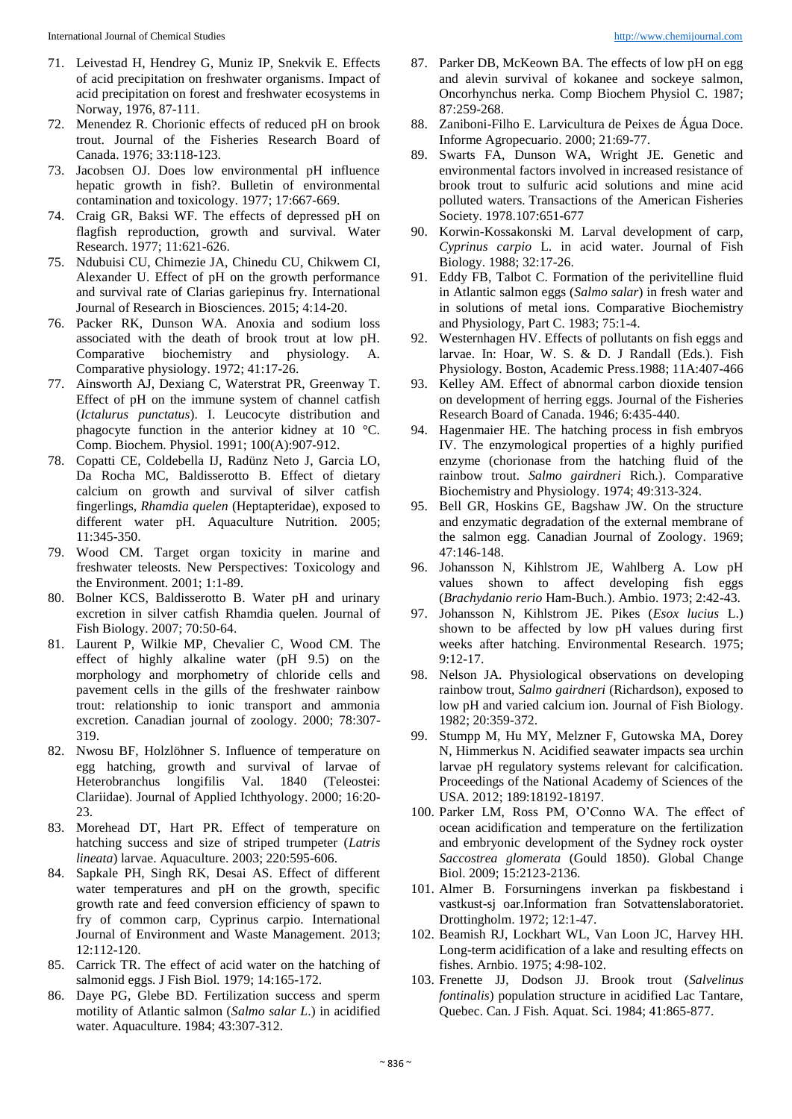- 71. Leivestad H, Hendrey G, Muniz IP, Snekvik E. Effects of acid precipitation on freshwater organisms. Impact of acid precipitation on forest and freshwater ecosystems in Norway, 1976, 87-111.
- 72. Menendez R. Chorionic effects of reduced pH on brook trout. Journal of the Fisheries Research Board of Canada. 1976; 33:118-123.
- 73. Jacobsen OJ. Does low environmental pH influence hepatic growth in fish?. Bulletin of environmental contamination and toxicology. 1977; 17:667-669.
- 74. Craig GR, Baksi WF. The effects of depressed pH on flagfish reproduction, growth and survival. Water Research. 1977; 11:621-626.
- 75. Ndubuisi CU, Chimezie JA, Chinedu CU, Chikwem CI, Alexander U. Effect of pH on the growth performance and survival rate of Clarias gariepinus fry. International Journal of Research in Biosciences. 2015; 4:14-20.
- 76. Packer RK, Dunson WA. Anoxia and sodium loss associated with the death of brook trout at low pH. Comparative biochemistry and physiology. A. Comparative physiology. 1972; 41:17-26.
- 77. Ainsworth AJ, Dexiang C, Waterstrat PR, Greenway T. Effect of pH on the immune system of channel catfish (*Ictalurus punctatus*). I. Leucocyte distribution and phagocyte function in the anterior kidney at 10 °C. Comp. Biochem. Physiol. 1991; 100(A):907-912.
- 78. Copatti CE, Coldebella IJ, Radünz Neto J, Garcia LO, Da Rocha MC, Baldisserotto B. Effect of dietary calcium on growth and survival of silver catfish fingerlings, *Rhamdia quelen* (Heptapteridae), exposed to different water pH. Aquaculture Nutrition. 2005; 11:345-350.
- 79. Wood CM. Target organ toxicity in marine and freshwater teleosts. New Perspectives: Toxicology and the Environment. 2001; 1:1-89.
- 80. Bolner KCS, Baldisserotto B. Water pH and urinary excretion in silver catfish Rhamdia quelen. Journal of Fish Biology. 2007; 70:50-64.
- 81. Laurent P, Wilkie MP, Chevalier C, Wood CM. The effect of highly alkaline water (pH 9.5) on the morphology and morphometry of chloride cells and pavement cells in the gills of the freshwater rainbow trout: relationship to ionic transport and ammonia excretion. Canadian journal of zoology. 2000; 78:307- 319.
- 82. Nwosu BF, Holzlöhner S. Influence of temperature on egg hatching, growth and survival of larvae of Heterobranchus longifilis Val. 1840 (Teleostei: Clariidae). Journal of Applied Ichthyology. 2000; 16:20-  $23.$
- 83. Morehead DT, Hart PR. Effect of temperature on hatching success and size of striped trumpeter (*Latris lineata*) larvae. Aquaculture. 2003; 220:595-606.
- 84. Sapkale PH, Singh RK, Desai AS. Effect of different water temperatures and pH on the growth, specific growth rate and feed conversion efficiency of spawn to fry of common carp, Cyprinus carpio. International Journal of Environment and Waste Management. 2013; 12:112-120.
- 85. Carrick TR. The effect of acid water on the hatching of salmonid eggs. J Fish Biol*.* 1979; 14:165-172.
- 86. Daye PG, Glebe BD. Fertilization success and sperm motility of Atlantic salmon (*Salmo salar L*.) in acidified water. Aquaculture. 1984; 43:307-312.
- 87. Parker DB, McKeown BA. The effects of low pH on egg and alevin survival of kokanee and sockeye salmon, Oncorhynchus nerka. Comp Biochem Physiol C. 1987; 87:259-268.
- 88. Zaniboni-Filho E. Larvicultura de Peixes de Água Doce. Informe Agropecuario. 2000; 21:69-77.
- 89. Swarts FA, Dunson WA, Wright JE. Genetic and environmental factors involved in increased resistance of brook trout to sulfuric acid solutions and mine acid polluted waters. Transactions of the American Fisheries Society. 1978.107:651-677
- 90. Korwin-Kossakonski M. Larval development of carp, *Cyprinus carpio* L. in acid water. Journal of Fish Biology. 1988; 32:17-26.
- 91. Eddy FB, Talbot C. Formation of the perivitelline fluid in Atlantic salmon eggs (*Salmo salar*) in fresh water and in solutions of metal ions. Comparative Biochemistry and Physiology, Part C. 1983; 75:1-4.
- 92. Westernhagen HV. Effects of pollutants on fish eggs and larvae. In: Hoar, W. S. & D. J Randall (Eds.). Fish Physiology. Boston, Academic Press.1988; 11A:407-466
- 93. Kelley AM. Effect of abnormal carbon dioxide tension on development of herring eggs. Journal of the Fisheries Research Board of Canada. 1946; 6:435-440.
- 94. Hagenmaier HE. The hatching process in fish embryos IV. The enzymological properties of a highly purified enzyme (chorionase from the hatching fluid of the rainbow trout. *Salmo gairdneri* Rich.). Comparative Biochemistry and Physiology. 1974; 49:313-324.
- 95. Bell GR, Hoskins GE, Bagshaw JW. On the structure and enzymatic degradation of the external membrane of the salmon egg. Canadian Journal of Zoology. 1969; 47:146-148.
- 96. Johansson N, Kihlstrom JE, Wahlberg A. Low pH values shown to affect developing fish eggs (*Brachydanio rerio* Ham-Buch.). Ambio. 1973; 2:42-43.
- 97. Johansson N, Kihlstrom JE. Pikes (*Esox lucius* L.) shown to be affected by low pH values during first weeks after hatching. Environmental Research. 1975; 9:12-17.
- 98. Nelson JA. Physiological observations on developing rainbow trout, *Salmo gairdneri* (Richardson), exposed to low pH and varied calcium ion. Journal of Fish Biology. 1982; 20:359-372.
- 99. Stumpp M, Hu MY, Melzner F, Gutowska MA, Dorey N, Himmerkus N. Acidified seawater impacts sea urchin larvae pH regulatory systems relevant for calcification. Proceedings of the National Academy of Sciences of the USA. 2012; 189:18192-18197.
- 100. Parker LM, Ross PM, O'Conno WA. The effect of ocean acidification and temperature on the fertilization and embryonic development of the Sydney rock oyster *Saccostrea glomerata* (Gould 1850). Global Change Biol. 2009; 15:2123-2136.
- 101. Almer B. Forsurningens inverkan pa fiskbestand i vastkust-sj oar.Information fran Sotvattenslaboratoriet. Drottingholm. 1972; 12:1-47.
- 102. Beamish RJ, Lockhart WL, Van Loon JC, Harvey HH. Long-term acidification of a lake and resulting effects on fishes. Arnbio. 1975; 4:98-102.
- 103. Frenette JJ, Dodson JJ. Brook trout (*Salvelinus fontinalis*) population structure in acidified Lac Tantare, Quebec. Can. J Fish. Aquat. Sci. 1984; 41:865-877.